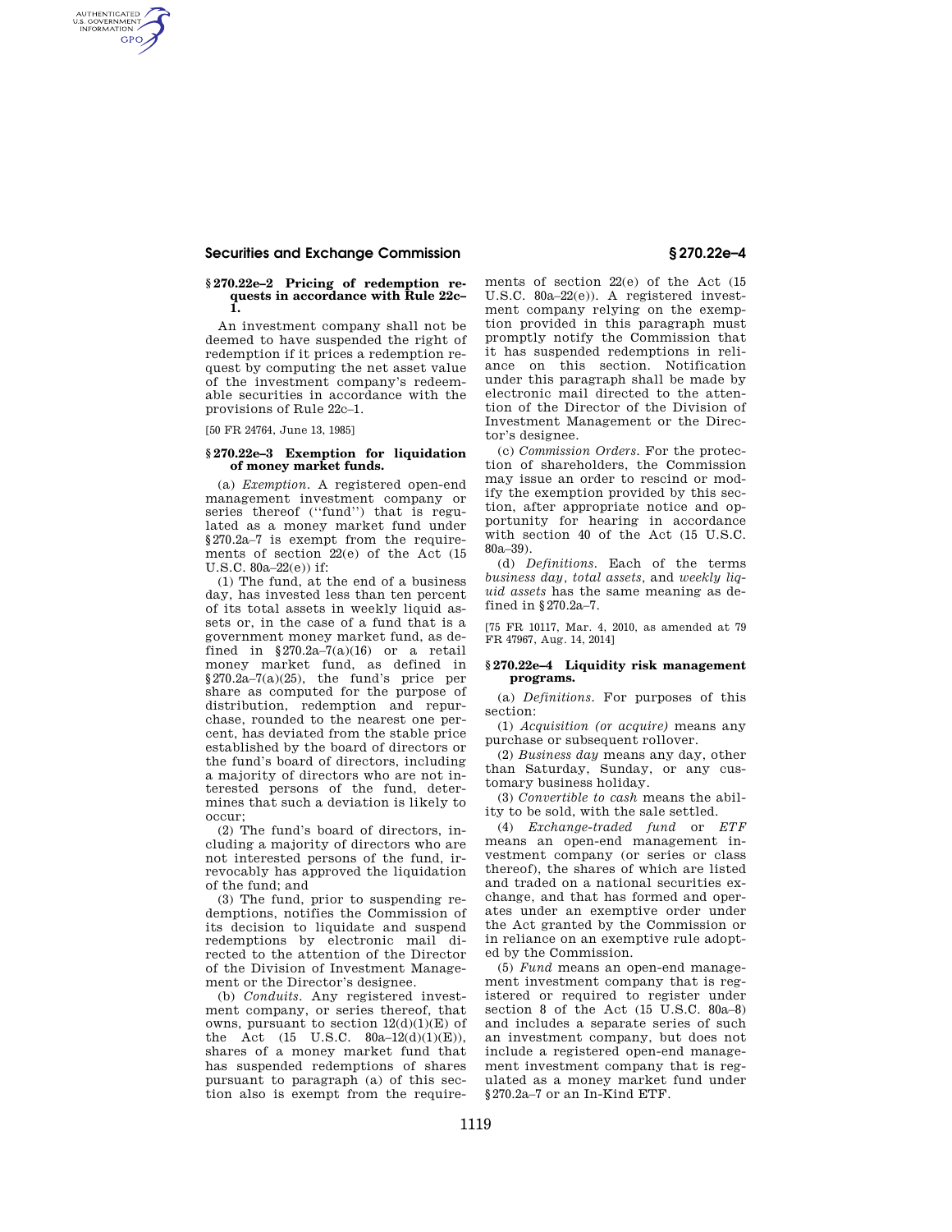# **Securities and Exchange Commission § 270.22e–4**

## **§ 270.22e–2 Pricing of redemption requests in accordance with Rule 22c– 1.**

An investment company shall not be deemed to have suspended the right of redemption if it prices a redemption request by computing the net asset value of the investment company's redeemable securities in accordance with the provisions of Rule 22c–1.

[50 FR 24764, June 13, 1985]

AUTHENTICATED<br>U.S. GOVERNMENT<br>INFORMATION **GPO** 

## **§ 270.22e–3 Exemption for liquidation of money market funds.**

(a) *Exemption.* A registered open-end management investment company or series thereof (''fund'') that is regulated as a money market fund under §270.2a–7 is exempt from the requirements of section 22(e) of the Act (15 U.S.C. 80a–22(e)) if:

(1) The fund, at the end of a business day, has invested less than ten percent of its total assets in weekly liquid assets or, in the case of a fund that is a government money market fund, as defined in  $$270.2a-7(a)(16)$  or a retail money market fund, as defined in  $$270.2a-7(a)(25)$ , the fund's price per share as computed for the purpose of distribution, redemption and repurchase, rounded to the nearest one percent, has deviated from the stable price established by the board of directors or the fund's board of directors, including a majority of directors who are not interested persons of the fund, determines that such a deviation is likely to occur;

(2) The fund's board of directors, including a majority of directors who are not interested persons of the fund, irrevocably has approved the liquidation of the fund; and

(3) The fund, prior to suspending redemptions, notifies the Commission of its decision to liquidate and suspend redemptions by electronic mail directed to the attention of the Director of the Division of Investment Management or the Director's designee.

(b) *Conduits.* Any registered investment company, or series thereof, that owns, pursuant to section  $12(d)(1)(E)$  of the Act  $(15 \text{ U.S.C. } 80a-12(d)(1)(E)),$ shares of a money market fund that has suspended redemptions of shares pursuant to paragraph (a) of this section also is exempt from the requirements of section 22(e) of the Act (15 U.S.C. 80a–22(e)). A registered investment company relying on the exemption provided in this paragraph must promptly notify the Commission that it has suspended redemptions in reliance on this section. Notification under this paragraph shall be made by electronic mail directed to the attention of the Director of the Division of Investment Management or the Director's designee.

(c) *Commission Orders.* For the protection of shareholders, the Commission may issue an order to rescind or modify the exemption provided by this section, after appropriate notice and opportunity for hearing in accordance with section 40 of the Act (15 U.S.C. 80a–39).

(d) *Definitions.* Each of the terms *business day, total assets,* and *weekly liquid assets* has the same meaning as defined in §270.2a–7.

[75 FR 10117, Mar. 4, 2010, as amended at 79 FR 47967, Aug. 14, 2014]

## **§ 270.22e–4 Liquidity risk management programs.**

(a) *Definitions.* For purposes of this section:

(1) *Acquisition (or acquire)* means any purchase or subsequent rollover.

(2) *Business day* means any day, other than Saturday, Sunday, or any customary business holiday.

(3) *Convertible to cash* means the ability to be sold, with the sale settled.

(4) *Exchange-traded fund* or *ETF*  means an open-end management investment company (or series or class thereof), the shares of which are listed and traded on a national securities exchange, and that has formed and operates under an exemptive order under the Act granted by the Commission or in reliance on an exemptive rule adopted by the Commission.

(5) *Fund* means an open-end management investment company that is registered or required to register under section 8 of the Act (15 U.S.C. 80a–8) and includes a separate series of such an investment company, but does not include a registered open-end management investment company that is regulated as a money market fund under §270.2a–7 or an In-Kind ETF.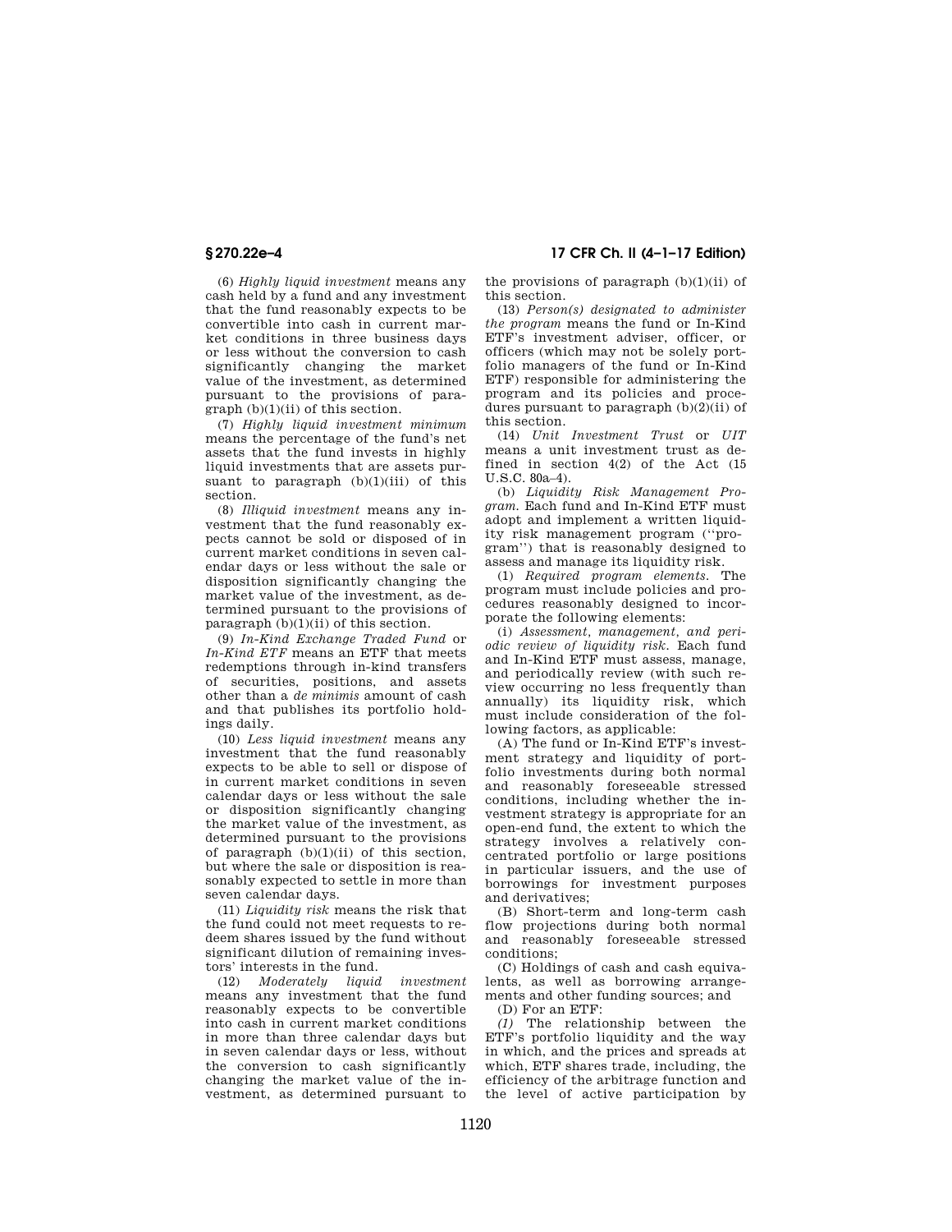**§ 270.22e–4 17 CFR Ch. II (4–1–17 Edition)** 

(6) *Highly liquid investment* means any cash held by a fund and any investment that the fund reasonably expects to be convertible into cash in current market conditions in three business days or less without the conversion to cash significantly changing the market value of the investment, as determined pursuant to the provisions of paragraph (b)(1)(ii) of this section.

(7) *Highly liquid investment minimum*  means the percentage of the fund's net assets that the fund invests in highly liquid investments that are assets pursuant to paragraph  $(b)(1)(iii)$  of this section.

(8) *Illiquid investment* means any investment that the fund reasonably expects cannot be sold or disposed of in current market conditions in seven calendar days or less without the sale or disposition significantly changing the market value of the investment, as determined pursuant to the provisions of paragraph  $(b)(1)(ii)$  of this section.

(9) *In-Kind Exchange Traded Fund* or *In-Kind ETF* means an ETF that meets redemptions through in-kind transfers of securities, positions, and assets other than a *de minimis* amount of cash and that publishes its portfolio holdings daily.

(10) *Less liquid investment* means any investment that the fund reasonably expects to be able to sell or dispose of in current market conditions in seven calendar days or less without the sale or disposition significantly changing the market value of the investment, as determined pursuant to the provisions of paragraph  $(b)(1)(ii)$  of this section, but where the sale or disposition is reasonably expected to settle in more than seven calendar days.

(11) *Liquidity risk* means the risk that the fund could not meet requests to redeem shares issued by the fund without significant dilution of remaining investors' interests in the fund.

(12) *Moderately liquid investment*  means any investment that the fund reasonably expects to be convertible into cash in current market conditions in more than three calendar days but in seven calendar days or less, without the conversion to cash significantly changing the market value of the investment, as determined pursuant to

the provisions of paragraph  $(b)(1)(ii)$  of this section.

(13) *Person(s) designated to administer the program* means the fund or In-Kind ETF's investment adviser, officer, or officers (which may not be solely portfolio managers of the fund or In-Kind ETF) responsible for administering the program and its policies and procedures pursuant to paragraph  $(b)(2)(ii)$  of this section.

(14) *Unit Investment Trust* or *UIT*  means a unit investment trust as defined in section 4(2) of the Act (15 U.S.C. 80a–4).

(b) *Liquidity Risk Management Program.* Each fund and In-Kind ETF must adopt and implement a written liquidity risk management program (''program'') that is reasonably designed to assess and manage its liquidity risk.

(1) *Required program elements.* The program must include policies and procedures reasonably designed to incorporate the following elements:

(i) *Assessment, management, and periodic review of liquidity risk.* Each fund and In-Kind ETF must assess, manage, and periodically review (with such review occurring no less frequently than annually) its liquidity risk, which must include consideration of the following factors, as applicable:

(A) The fund or In-Kind ETF's investment strategy and liquidity of portfolio investments during both normal and reasonably foreseeable stressed conditions, including whether the investment strategy is appropriate for an open-end fund, the extent to which the strategy involves a relatively concentrated portfolio or large positions in particular issuers, and the use of borrowings for investment purposes and derivatives;

(B) Short-term and long-term cash flow projections during both normal and reasonably foreseeable stressed conditions;

(C) Holdings of cash and cash equivalents, as well as borrowing arrangements and other funding sources; and

(D) For an ETF:

*(1)* The relationship between the ETF's portfolio liquidity and the way in which, and the prices and spreads at which, ETF shares trade, including, the efficiency of the arbitrage function and the level of active participation by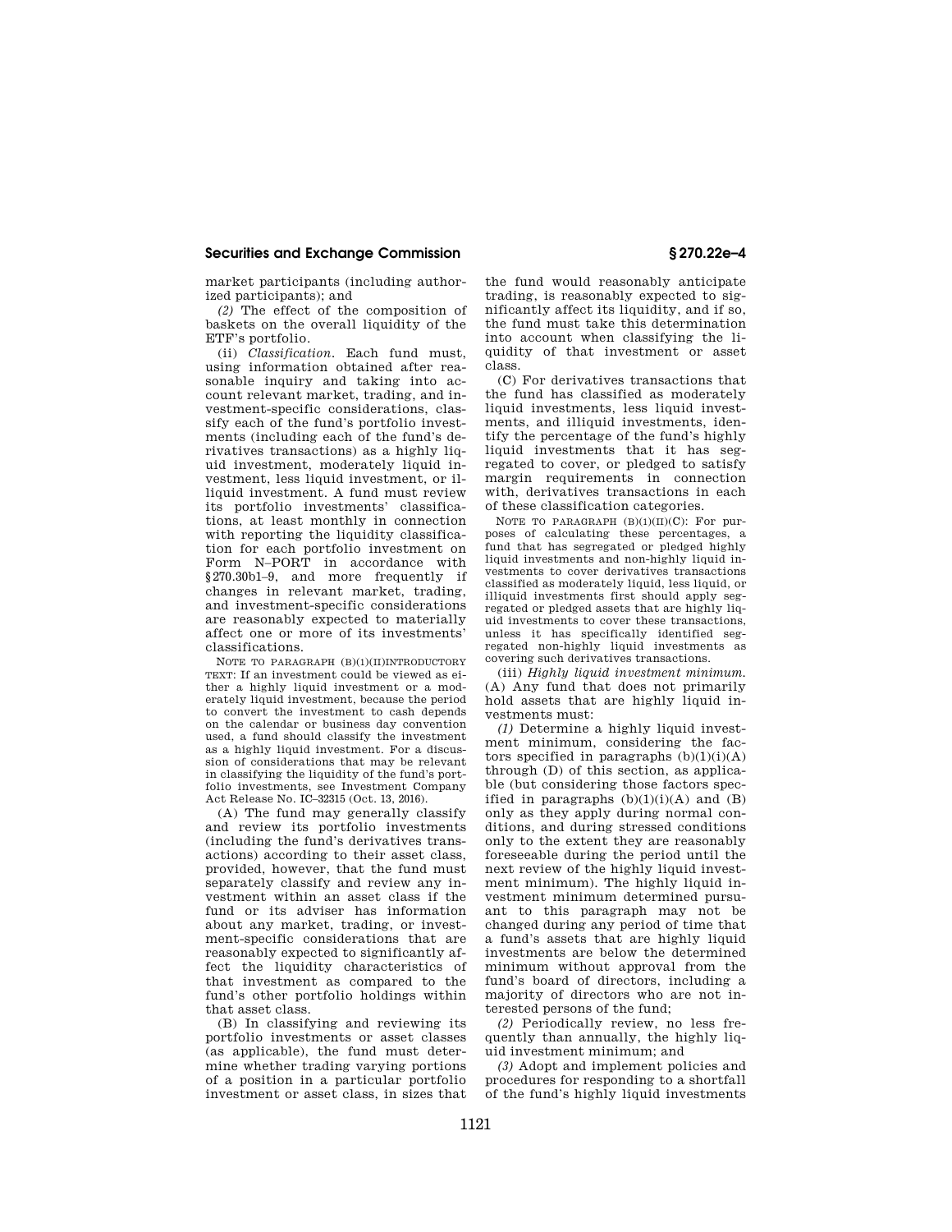# **Securities and Exchange Commission § 270.22e–4**

market participants (including authorized participants); and

*(2)* The effect of the composition of baskets on the overall liquidity of the ETF's portfolio.

(ii) *Classification.* Each fund must, using information obtained after reasonable inquiry and taking into account relevant market, trading, and investment-specific considerations, classify each of the fund's portfolio investments (including each of the fund's derivatives transactions) as a highly liquid investment, moderately liquid investment, less liquid investment, or illiquid investment. A fund must review its portfolio investments' classifications, at least monthly in connection with reporting the liquidity classification for each portfolio investment on Form N–PORT in accordance with §270.30b1–9, and more frequently if changes in relevant market, trading, and investment-specific considerations are reasonably expected to materially affect one or more of its investments' classifications.

NOTE TO PARAGRAPH (B)(1)(II)INTRODUCTORY TEXT: If an investment could be viewed as either a highly liquid investment or a moderately liquid investment, because the period to convert the investment to cash depends on the calendar or business day convention used, a fund should classify the investment as a highly liquid investment. For a discussion of considerations that may be relevant in classifying the liquidity of the fund's portfolio investments, see Investment Company Act Release No. IC–32315 (Oct. 13, 2016).

(A) The fund may generally classify and review its portfolio investments (including the fund's derivatives transactions) according to their asset class, provided, however, that the fund must separately classify and review any investment within an asset class if the fund or its adviser has information about any market, trading, or investment-specific considerations that are reasonably expected to significantly affect the liquidity characteristics of that investment as compared to the fund's other portfolio holdings within that asset class.

(B) In classifying and reviewing its portfolio investments or asset classes (as applicable), the fund must determine whether trading varying portions of a position in a particular portfolio investment or asset class, in sizes that

the fund would reasonably anticipate trading, is reasonably expected to significantly affect its liquidity, and if so, the fund must take this determination into account when classifying the liquidity of that investment or asset class.

(C) For derivatives transactions that the fund has classified as moderately liquid investments, less liquid investments, and illiquid investments, identify the percentage of the fund's highly liquid investments that it has segregated to cover, or pledged to satisfy margin requirements in connection with, derivatives transactions in each of these classification categories.

NOTE TO PARAGRAPH  $(B)(1)(II)(C)$ : For purposes of calculating these percentages, a fund that has segregated or pledged highly liquid investments and non-highly liquid investments to cover derivatives transactions classified as moderately liquid, less liquid, or illiquid investments first should apply segregated or pledged assets that are highly liquid investments to cover these transactions, unless it has specifically identified seg-regated non-highly liquid investments as covering such derivatives transactions.

(iii) *Highly liquid investment minimum.*  (A) Any fund that does not primarily hold assets that are highly liquid investments must:

*(1)* Determine a highly liquid investment minimum, considering the factors specified in paragraphs  $(b)(1)(i)(A)$ through (D) of this section, as applicable (but considering those factors specified in paragraphs  $(b)(1)(i)(A)$  and  $(B)$ only as they apply during normal conditions, and during stressed conditions only to the extent they are reasonably foreseeable during the period until the next review of the highly liquid investment minimum). The highly liquid investment minimum determined pursuant to this paragraph may not be changed during any period of time that a fund's assets that are highly liquid investments are below the determined minimum without approval from the fund's board of directors, including a majority of directors who are not interested persons of the fund;

*(2)* Periodically review, no less frequently than annually, the highly liquid investment minimum; and

*(3)* Adopt and implement policies and procedures for responding to a shortfall of the fund's highly liquid investments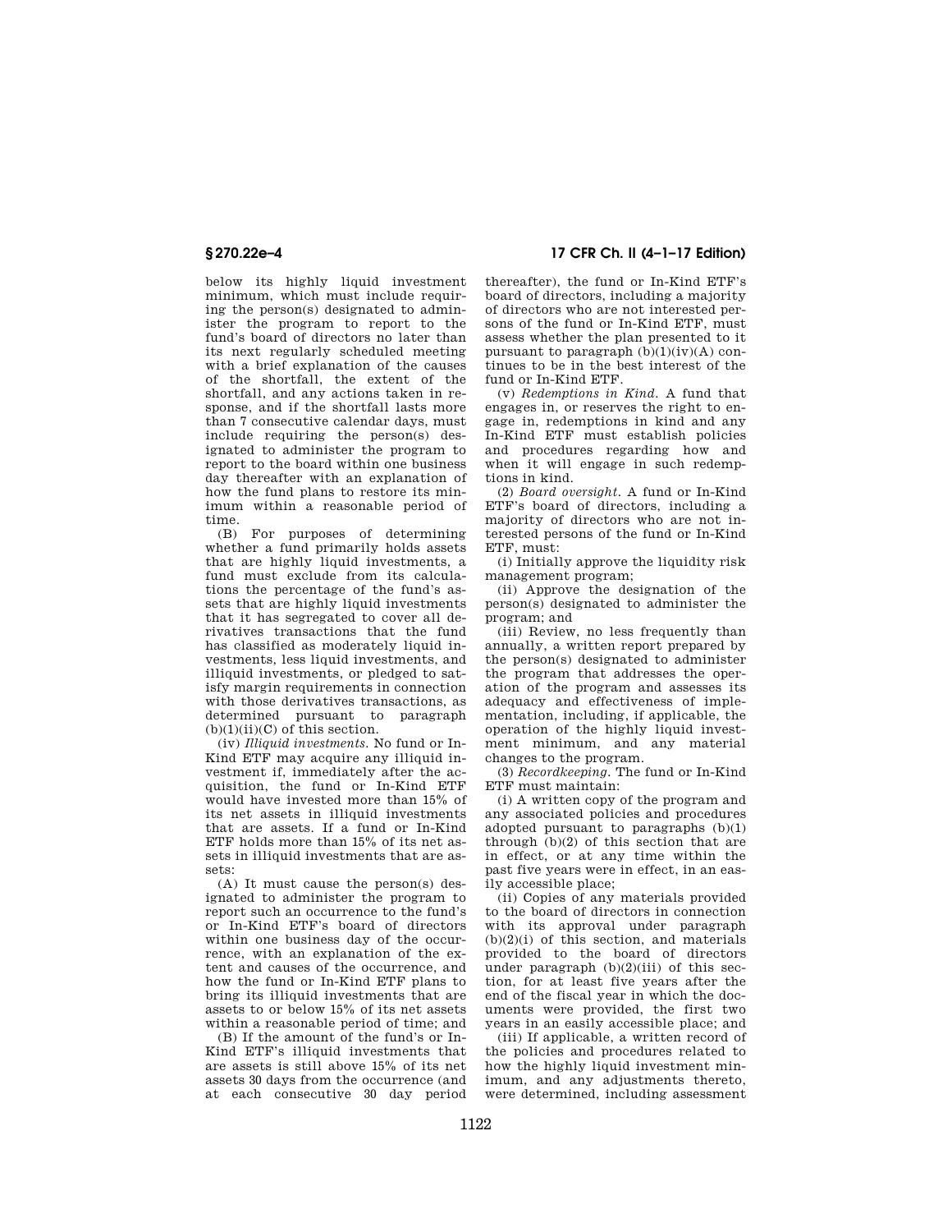below its highly liquid investment minimum, which must include requiring the person(s) designated to administer the program to report to the fund's board of directors no later than its next regularly scheduled meeting with a brief explanation of the causes of the shortfall, the extent of the shortfall, and any actions taken in response, and if the shortfall lasts more than 7 consecutive calendar days, must include requiring the person(s) designated to administer the program to report to the board within one business day thereafter with an explanation of how the fund plans to restore its minimum within a reasonable period of time.

(B) For purposes of determining whether a fund primarily holds assets that are highly liquid investments, a fund must exclude from its calculations the percentage of the fund's assets that are highly liquid investments that it has segregated to cover all derivatives transactions that the fund has classified as moderately liquid investments, less liquid investments, and illiquid investments, or pledged to satisfy margin requirements in connection with those derivatives transactions, as determined pursuant to paragraph  $(b)(1)(ii)(C)$  of this section.

(iv) *Illiquid investments.* No fund or In-Kind ETF may acquire any illiquid investment if, immediately after the acquisition, the fund or In-Kind ETF would have invested more than 15% of its net assets in illiquid investments that are assets. If a fund or In-Kind ETF holds more than 15% of its net assets in illiquid investments that are assets:

(A) It must cause the person(s) designated to administer the program to report such an occurrence to the fund's or In-Kind ETF's board of directors within one business day of the occurrence, with an explanation of the extent and causes of the occurrence, and how the fund or In-Kind ETF plans to bring its illiquid investments that are assets to or below 15% of its net assets within a reasonable period of time; and

(B) If the amount of the fund's or In-Kind ETF's illiquid investments that are assets is still above 15% of its net assets 30 days from the occurrence (and at each consecutive 30 day period

**§ 270.22e–4 17 CFR Ch. II (4–1–17 Edition)** 

thereafter), the fund or In-Kind ETF's board of directors, including a majority of directors who are not interested persons of the fund or In-Kind ETF, must assess whether the plan presented to it pursuant to paragraph  $(b)(1)(iv)(A)$  continues to be in the best interest of the fund or In-Kind ETF.

(v) *Redemptions in Kind.* A fund that engages in, or reserves the right to engage in, redemptions in kind and any In-Kind ETF must establish policies and procedures regarding how and when it will engage in such redemptions in kind.

(2) *Board oversight.* A fund or In-Kind ETF's board of directors, including a majority of directors who are not interested persons of the fund or In-Kind  $ETF$ , must:

(i) Initially approve the liquidity risk management program;

(ii) Approve the designation of the person(s) designated to administer the program; and

(iii) Review, no less frequently than annually, a written report prepared by the person(s) designated to administer the program that addresses the operation of the program and assesses its adequacy and effectiveness of implementation, including, if applicable, the operation of the highly liquid investment minimum, and any material changes to the program.

(3) *Recordkeeping.* The fund or In-Kind ETF must maintain:

(i) A written copy of the program and any associated policies and procedures adopted pursuant to paragraphs  $(b)(1)$ through (b)(2) of this section that are in effect, or at any time within the past five years were in effect, in an easily accessible place;

(ii) Copies of any materials provided to the board of directors in connection with its approval under paragraph  $(b)(2)(i)$  of this section, and materials provided to the board of directors under paragraph  $(b)(2)(iii)$  of this section, for at least five years after the end of the fiscal year in which the documents were provided, the first two years in an easily accessible place; and

(iii) If applicable, a written record of the policies and procedures related to how the highly liquid investment minimum, and any adjustments thereto, were determined, including assessment